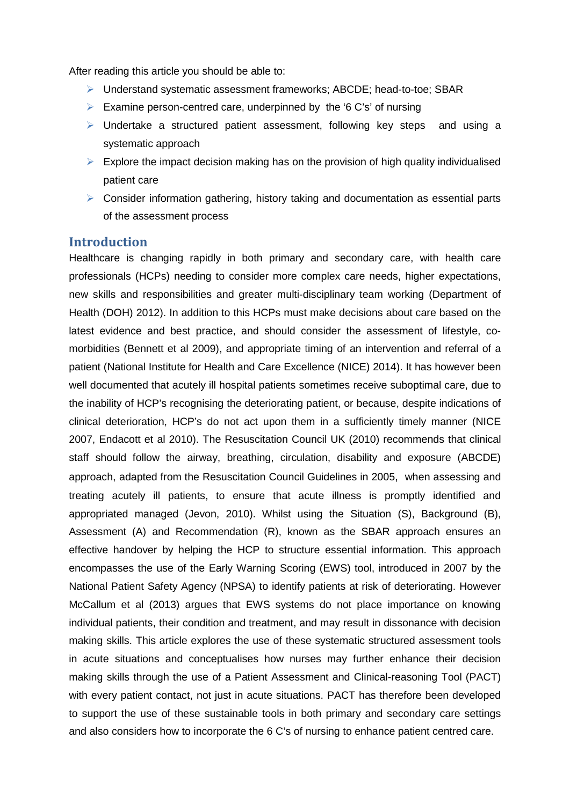After reading this article you should be able to:

- Understand systematic assessment frameworks; ABCDE; head-to-toe; SBAR
- Examine person-centred care, underpinned by the '6 C's' of nursing
- $\triangleright$  Undertake a structured patient assessment, following key steps and using a systematic approach
- $\triangleright$  Explore the impact decision making has on the provision of high quality individualised patient care
- $\triangleright$  Consider information gathering, history taking and documentation as essential parts of the assessment process

## **Introduction**

Healthcare is changing rapidly in both primary and secondary care, with health care professionals (HCPs) needing to consider more complex care needs, higher expectations, new skills and responsibilities and greater multi-disciplinary team working (Department of Health (DOH) 2012). In addition to this HCPs must make decisions about care based on the latest evidence and best practice, and should consider the assessment of lifestyle, comorbidities (Bennett et al 2009), and appropriate timing of an intervention and referral of a patient (National Institute for Health and Care Excellence (NICE) 2014). It has however been well documented that acutely ill hospital patients sometimes receive suboptimal care, due to the inability of HCP's recognising the deteriorating patient, or because, despite indications of clinical deterioration, HCP's do not act upon them in a sufficiently timely manner (NICE 2007, Endacott et al 2010). The Resuscitation Council UK (2010) recommends that clinical staff should follow the airway, breathing, circulation, disability and exposure (ABCDE) approach, adapted from the Resuscitation Council Guidelines in 2005, when assessing and treating acutely ill patients, to ensure that acute illness is promptly identified and appropriated managed (Jevon, 2010). Whilst using the Situation (S), Background (B), Assessment (A) and Recommendation (R), known as the SBAR approach ensures an effective handover by helping the HCP to structure essential information. This approach encompasses the use of the Early Warning Scoring (EWS) tool, introduced in 2007 by the National Patient Safety Agency (NPSA) to identify patients at risk of deteriorating. However McCallum et al (2013) argues that EWS systems do not place importance on knowing individual patients, their condition and treatment, and may result in dissonance with decision making skills. This article explores the use of these systematic structured assessment tools in acute situations and conceptualises how nurses may further enhance their decision making skills through the use of a Patient Assessment and Clinical-reasoning Tool (PACT) with every patient contact, not just in acute situations. PACT has therefore been developed to support the use of these sustainable tools in both primary and secondary care settings and also considers how to incorporate the 6 C's of nursing to enhance patient centred care.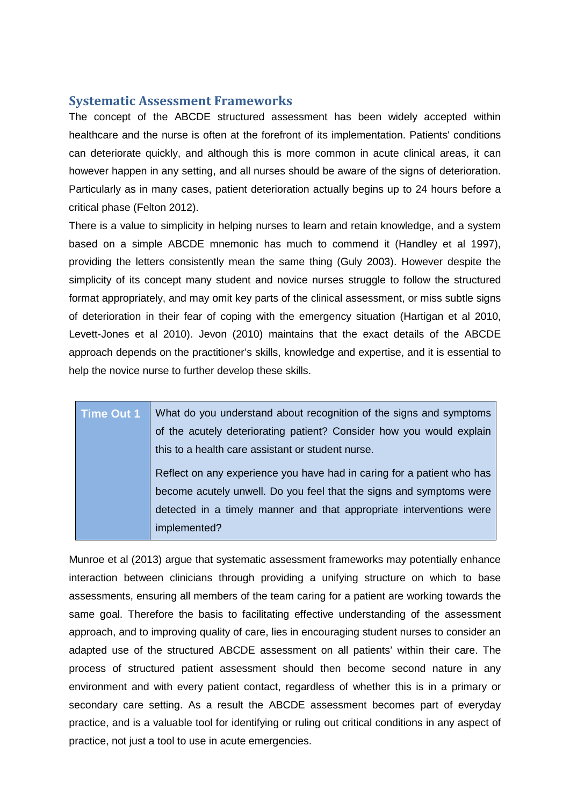#### **Systematic Assessment Frameworks**

The concept of the ABCDE structured assessment has been widely accepted within healthcare and the nurse is often at the forefront of its implementation. Patients' conditions can deteriorate quickly, and although this is more common in acute clinical areas, it can however happen in any setting, and all nurses should be aware of the signs of deterioration. Particularly as in many cases, patient deterioration actually begins up to 24 hours before a critical phase (Felton 2012).

There is a value to simplicity in helping nurses to learn and retain knowledge, and a system based on a simple ABCDE mnemonic has much to commend it (Handley et al 1997), providing the letters consistently mean the same thing (Guly 2003). However despite the simplicity of its concept many student and novice nurses struggle to follow the structured format appropriately, and may omit key parts of the clinical assessment, or miss subtle signs of deterioration in their fear of coping with the emergency situation (Hartigan et al 2010, Levett-Jones et al 2010). Jevon (2010) maintains that the exact details of the ABCDE approach depends on the practitioner's skills, knowledge and expertise, and it is essential to help the novice nurse to further develop these skills.

| Time Out 1 | What do you understand about recognition of the signs and symptoms     |
|------------|------------------------------------------------------------------------|
|            | of the acutely deteriorating patient? Consider how you would explain   |
|            | this to a health care assistant or student nurse.                      |
|            | Reflect on any experience you have had in caring for a patient who has |
|            | become acutely unwell. Do you feel that the signs and symptoms were    |
|            | detected in a timely manner and that appropriate interventions were    |
|            | implemented?                                                           |

Munroe et al (2013) argue that systematic assessment frameworks may potentially enhance interaction between clinicians through providing a unifying structure on which to base assessments, ensuring all members of the team caring for a patient are working towards the same goal. Therefore the basis to facilitating effective understanding of the assessment approach, and to improving quality of care, lies in encouraging student nurses to consider an adapted use of the structured ABCDE assessment on all patients' within their care. The process of structured patient assessment should then become second nature in any environment and with every patient contact, regardless of whether this is in a primary or secondary care setting. As a result the ABCDE assessment becomes part of everyday practice, and is a valuable tool for identifying or ruling out critical conditions in any aspect of practice, not just a tool to use in acute emergencies.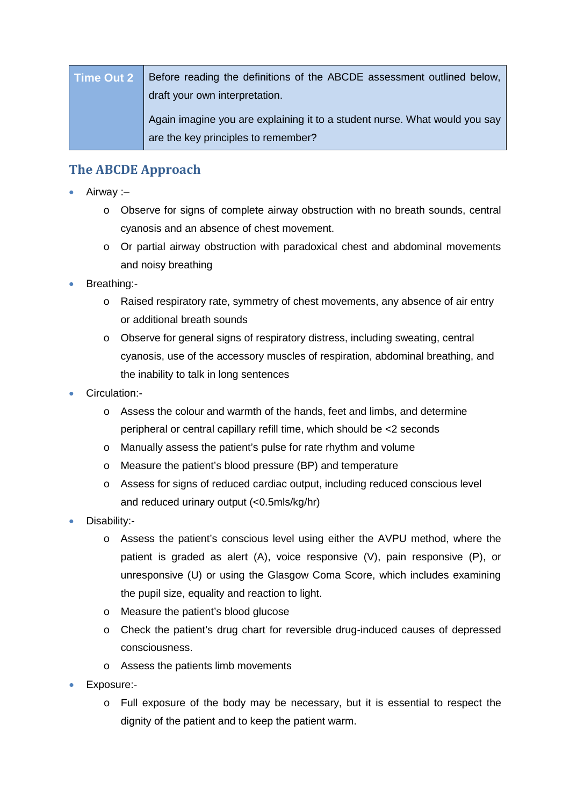| Time Out 2   Before reading the definitions of the ABCDE assessment outlined below, |
|-------------------------------------------------------------------------------------|
| draft your own interpretation.                                                      |
| Again imagine you are explaining it to a student nurse. What would you say          |
| are the key principles to remember?                                                 |

# **The ABCDE Approach**

- Airway :–
	- o Observe for signs of complete airway obstruction with no breath sounds, central cyanosis and an absence of chest movement.
	- $\circ$  Or partial airway obstruction with paradoxical chest and abdominal movements and noisy breathing
- Breathing:
	- o Raised respiratory rate, symmetry of chest movements, any absence of air entry or additional breath sounds
	- o Observe for general signs of respiratory distress, including sweating, central cyanosis, use of the accessory muscles of respiration, abdominal breathing, and the inability to talk in long sentences
- Circulation:
	- o Assess the colour and warmth of the hands, feet and limbs, and determine peripheral or central capillary refill time, which should be <2 seconds
	- o Manually assess the patient's pulse for rate rhythm and volume
	- o Measure the patient's blood pressure (BP) and temperature
	- o Assess for signs of reduced cardiac output, including reduced conscious level and reduced urinary output (<0.5mls/kg/hr)
- Disability:
	- o Assess the patient's conscious level using either the AVPU method, where the patient is graded as alert (A), voice responsive (V), pain responsive (P), or unresponsive (U) or using the Glasgow Coma Score, which includes examining the pupil size, equality and reaction to light.
	- o Measure the patient's blood glucose
	- o Check the patient's drug chart for reversible drug-induced causes of depressed consciousness.
	- o Assess the patients limb movements
- Exposure:
	- o Full exposure of the body may be necessary, but it is essential to respect the dignity of the patient and to keep the patient warm.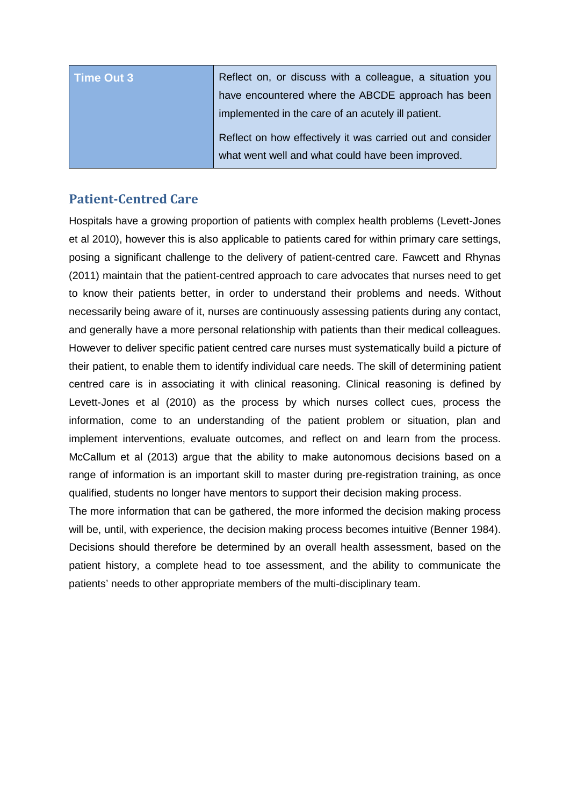| Time Out 3 | Reflect on, or discuss with a colleague, a situation you   |
|------------|------------------------------------------------------------|
|            | have encountered where the ABCDE approach has been         |
|            | implemented in the care of an acutely ill patient.         |
|            | Reflect on how effectively it was carried out and consider |
|            | what went well and what could have been improved.          |

# **Patient-Centred Care**

Hospitals have a growing proportion of patients with complex health problems (Levett-Jones et al 2010), however this is also applicable to patients cared for within primary care settings, posing a significant challenge to the delivery of patient-centred care. Fawcett and Rhynas (2011) maintain that the patient-centred approach to care advocates that nurses need to get to know their patients better, in order to understand their problems and needs. Without necessarily being aware of it, nurses are continuously assessing patients during any contact, and generally have a more personal relationship with patients than their medical colleagues. However to deliver specific patient centred care nurses must systematically build a picture of their patient, to enable them to identify individual care needs. The skill of determining patient centred care is in associating it with clinical reasoning. Clinical reasoning is defined by Levett-Jones et al (2010) as the process by which nurses collect cues, process the information, come to an understanding of the patient problem or situation, plan and implement interventions, evaluate outcomes, and reflect on and learn from the process. McCallum et al (2013) argue that the ability to make autonomous decisions based on a range of information is an important skill to master during pre-registration training, as once qualified, students no longer have mentors to support their decision making process.

The more information that can be gathered, the more informed the decision making process will be, until, with experience, the decision making process becomes intuitive (Benner 1984). Decisions should therefore be determined by an overall health assessment, based on the patient history, a complete head to toe assessment, and the ability to communicate the patients' needs to other appropriate members of the multi-disciplinary team.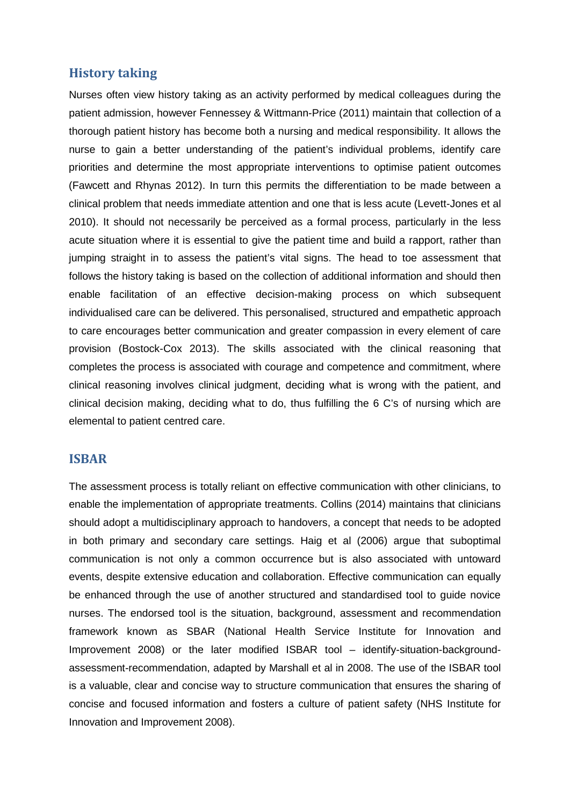## **History taking**

Nurses often view history taking as an activity performed by medical colleagues during the patient admission, however Fennessey & Wittmann-Price (2011) maintain that collection of a thorough patient history has become both a nursing and medical responsibility. It allows the nurse to gain a better understanding of the patient's individual problems, identify care priorities and determine the most appropriate interventions to optimise patient outcomes (Fawcett and Rhynas 2012). In turn this permits the differentiation to be made between a clinical problem that needs immediate attention and one that is less acute (Levett-Jones et al 2010). It should not necessarily be perceived as a formal process, particularly in the less acute situation where it is essential to give the patient time and build a rapport, rather than jumping straight in to assess the patient's vital signs. The head to toe assessment that follows the history taking is based on the collection of additional information and should then enable facilitation of an effective decision-making process on which subsequent individualised care can be delivered. This personalised, structured and empathetic approach to care encourages better communication and greater compassion in every element of care provision (Bostock-Cox 2013). The skills associated with the clinical reasoning that completes the process is associated with courage and competence and commitment, where clinical reasoning involves clinical judgment, deciding what is wrong with the patient, and clinical decision making, deciding what to do, thus fulfilling the 6 C's of nursing which are elemental to patient centred care.

#### **ISBAR**

The assessment process is totally reliant on effective communication with other clinicians, to enable the implementation of appropriate treatments. Collins (2014) maintains that clinicians should adopt a multidisciplinary approach to handovers, a concept that needs to be adopted in both primary and secondary care settings. Haig et al (2006) argue that suboptimal communication is not only a common occurrence but is also associated with untoward events, despite extensive education and collaboration. Effective communication can equally be enhanced through the use of another structured and standardised tool to guide novice nurses. The endorsed tool is the situation, background, assessment and recommendation framework known as SBAR (National Health Service Institute for Innovation and Improvement 2008) or the later modified ISBAR tool – identify-situation-backgroundassessment-recommendation, adapted by Marshall et al in 2008. The use of the ISBAR tool is a valuable, clear and concise way to structure communication that ensures the sharing of concise and focused information and fosters a culture of patient safety (NHS Institute for Innovation and Improvement 2008).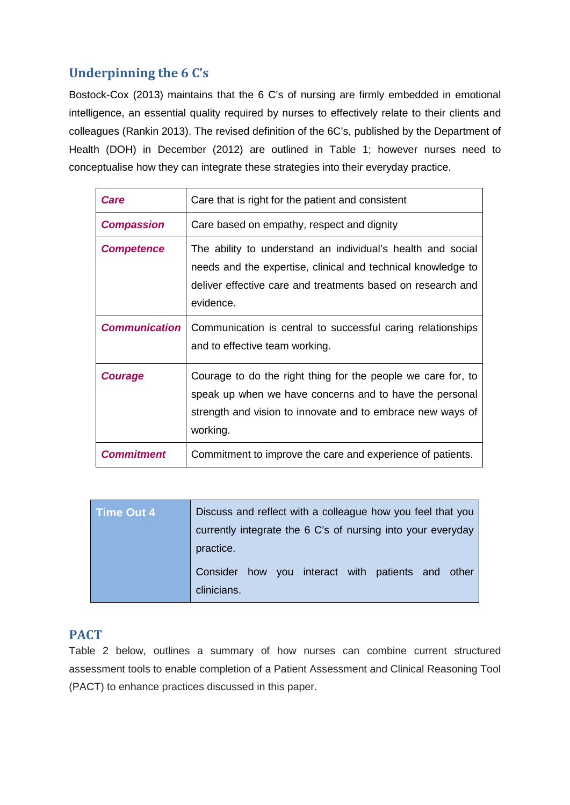# **Underpinning the 6 C's**

Bostock-Cox (2013) maintains that the 6 C's of nursing are firmly embedded in emotional intelligence, an essential quality required by nurses to effectively relate to their clients and colleagues (Rankin 2013). The revised definition of the 6C's, published by the Department of Health (DOH) in December (2012) are outlined in Table 1; however nurses need to conceptualise how they can integrate these strategies into their everyday practice.

| Care                 | Care that is right for the patient and consistent                                                                                                                                                       |
|----------------------|---------------------------------------------------------------------------------------------------------------------------------------------------------------------------------------------------------|
| <b>Compassion</b>    | Care based on empathy, respect and dignity                                                                                                                                                              |
| <b>Competence</b>    | The ability to understand an individual's health and social<br>needs and the expertise, clinical and technical knowledge to<br>deliver effective care and treatments based on research and<br>evidence. |
| <b>Communication</b> | Communication is central to successful caring relationships<br>and to effective team working.                                                                                                           |
| <b>Courage</b>       | Courage to do the right thing for the people we care for, to<br>speak up when we have concerns and to have the personal<br>strength and vision to innovate and to embrace new ways of<br>working.       |
| <b>Commitment</b>    | Commitment to improve the care and experience of patients.                                                                                                                                              |

| Time Out 4 | Discuss and reflect with a colleague how you feel that you       |  |
|------------|------------------------------------------------------------------|--|
|            | currently integrate the 6 C's of nursing into your everyday      |  |
|            | practice.                                                        |  |
|            | Consider how you interact with patients and other<br>clinicians. |  |

## **PACT**

Table 2 below, outlines a summary of how nurses can combine current structured assessment tools to enable completion of a Patient Assessment and Clinical Reasoning Tool (PACT) to enhance practices discussed in this paper.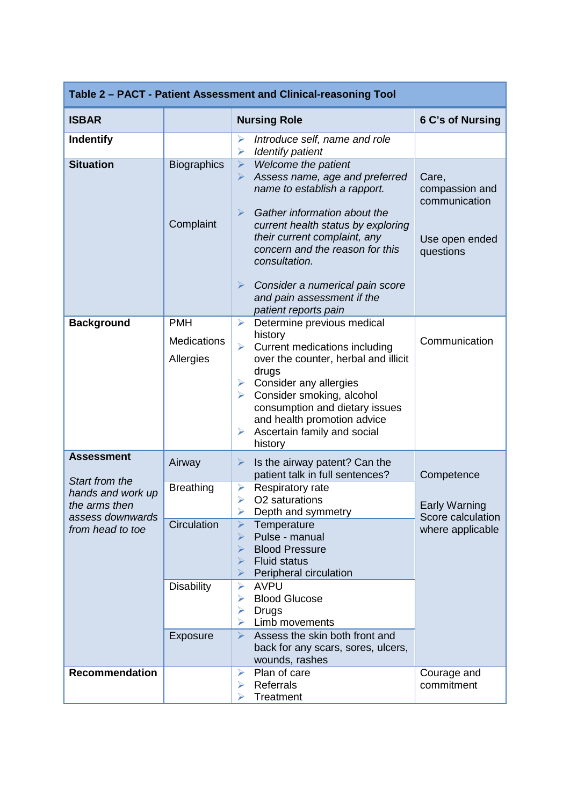| Table 2 - PACT - Patient Assessment and Clinical-reasoning Tool                              |                                               |                                                                                                                                                                                                                                                                                                                                                                                                      |                                                                         |
|----------------------------------------------------------------------------------------------|-----------------------------------------------|------------------------------------------------------------------------------------------------------------------------------------------------------------------------------------------------------------------------------------------------------------------------------------------------------------------------------------------------------------------------------------------------------|-------------------------------------------------------------------------|
| <b>ISBAR</b>                                                                                 |                                               | <b>Nursing Role</b>                                                                                                                                                                                                                                                                                                                                                                                  | 6 C's of Nursing                                                        |
| <b>Indentify</b>                                                                             |                                               | Introduce self, name and role<br>➤<br><b>Identify patient</b><br>➤                                                                                                                                                                                                                                                                                                                                   |                                                                         |
| <b>Situation</b>                                                                             | <b>Biographics</b><br>Complaint               | Welcome the patient<br>$\blacktriangleright$<br>Assess name, age and preferred<br>➤<br>name to establish a rapport.<br>$\blacktriangleright$<br>Gather information about the<br>current health status by exploring<br>their current complaint, any<br>concern and the reason for this<br>consultation.<br>Consider a numerical pain score<br>➤<br>and pain assessment if the<br>patient reports pain | Care,<br>compassion and<br>communication<br>Use open ended<br>questions |
| <b>Background</b>                                                                            | <b>PMH</b><br><b>Medications</b><br>Allergies | Determine previous medical<br>$\blacktriangleright$<br>history<br>Current medications including<br>$\blacktriangleright$<br>over the counter, herbal and illicit<br>drugs<br>Consider any allergies<br>➤<br>Consider smoking, alcohol<br>$\blacktriangleright$<br>consumption and dietary issues<br>and health promotion advice<br>Ascertain family and social<br>➤<br>history                       | Communication                                                           |
| <b>Assessment</b>                                                                            | Airway                                        | Is the airway patent? Can the<br>➤                                                                                                                                                                                                                                                                                                                                                                   |                                                                         |
| Start from the<br>hands and work up<br>the arms then<br>assess downwards<br>from head to toe | <b>Breathing</b>                              | patient talk in full sentences?<br>Respiratory rate<br>➤<br>O2 saturations<br>➤<br>Depth and symmetry                                                                                                                                                                                                                                                                                                | Competence<br><b>Early Warning</b><br>Score calculation                 |
|                                                                                              | Circulation                                   | ➤<br>Temperature<br>Pulse - manual<br><b>Blood Pressure</b><br><b>Fluid status</b><br>⋗<br>Peripheral circulation                                                                                                                                                                                                                                                                                    | where applicable                                                        |
|                                                                                              | <b>Disability</b><br>Exposure                 | <b>AVPU</b><br>⋗<br><b>Blood Glucose</b><br>Drugs<br>⋗<br>Limb movements<br>Assess the skin both front and<br>⋗                                                                                                                                                                                                                                                                                      |                                                                         |
|                                                                                              |                                               | back for any scars, sores, ulcers,<br>wounds, rashes                                                                                                                                                                                                                                                                                                                                                 |                                                                         |
| <b>Recommendation</b>                                                                        |                                               | Plan of care<br>⋗<br>Referrals<br>⋗<br>Treatment                                                                                                                                                                                                                                                                                                                                                     | Courage and<br>commitment                                               |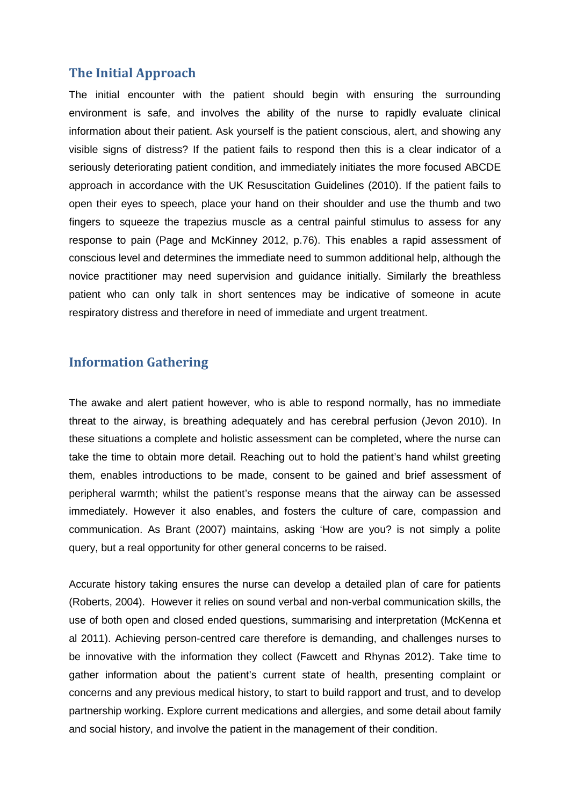#### **The Initial Approach**

The initial encounter with the patient should begin with ensuring the surrounding environment is safe, and involves the ability of the nurse to rapidly evaluate clinical information about their patient. Ask yourself is the patient conscious, alert, and showing any visible signs of distress? If the patient fails to respond then this is a clear indicator of a seriously deteriorating patient condition, and immediately initiates the more focused ABCDE approach in accordance with the UK Resuscitation Guidelines (2010). If the patient fails to open their eyes to speech, place your hand on their shoulder and use the thumb and two fingers to squeeze the trapezius muscle as a central painful stimulus to assess for any response to pain (Page and McKinney 2012, p.76). This enables a rapid assessment of conscious level and determines the immediate need to summon additional help, although the novice practitioner may need supervision and guidance initially. Similarly the breathless patient who can only talk in short sentences may be indicative of someone in acute respiratory distress and therefore in need of immediate and urgent treatment.

## **Information Gathering**

The awake and alert patient however, who is able to respond normally, has no immediate threat to the airway, is breathing adequately and has cerebral perfusion (Jevon 2010). In these situations a complete and holistic assessment can be completed, where the nurse can take the time to obtain more detail. Reaching out to hold the patient's hand whilst greeting them, enables introductions to be made, consent to be gained and brief assessment of peripheral warmth; whilst the patient's response means that the airway can be assessed immediately. However it also enables, and fosters the culture of care, compassion and communication. As Brant (2007) maintains, asking 'How are you? is not simply a polite query, but a real opportunity for other general concerns to be raised.

Accurate history taking ensures the nurse can develop a detailed plan of care for patients [\(Roberts,](http://www.sciencedirect.com.atlas.worc.ac.uk/science/article/pii/S1471595310001563?np=y#bib24) 2004). However it relies on sound verbal and non-verbal communication skills, the use of both open and closed ended questions, summarising and interpretation (McKenna et al 2011). Achieving person-centred care therefore is demanding, and challenges nurses to be innovative with the information they collect (Fawcett and Rhynas 2012). Take time to gather information about the patient's current state of health, presenting complaint or concerns and any previous medical history, to start to build rapport and trust, and to develop partnership working. Explore current medications and allergies, and some detail about family and social history, and involve the patient in the management of their condition.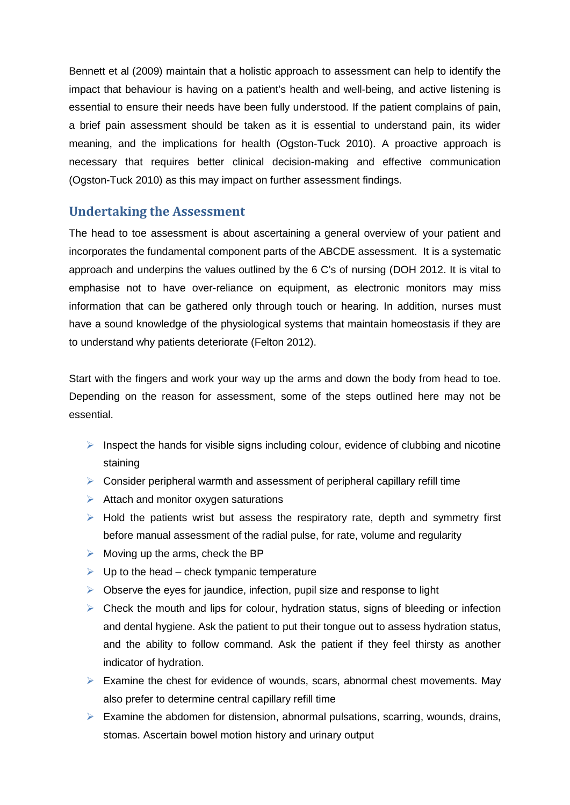Bennett et al (2009) maintain that a holistic approach to assessment can help to identify the impact that behaviour is having on a patient's health and well-being, and active listening is essential to ensure their needs have been fully understood. If the patient complains of pain, a brief pain assessment should be taken as it is essential to understand pain, its wider meaning, and the implications for health (Ogston-Tuck 2010). A proactive approach is necessary that requires better clinical decision-making and effective communication (Ogston-Tuck 2010) as this may impact on further assessment findings.

## **Undertaking the Assessment**

The head to toe assessment is about ascertaining a general overview of your patient and incorporates the fundamental component parts of the ABCDE assessment. It is a systematic approach and underpins the values outlined by the 6 C's of nursing (DOH 2012. It is vital to emphasise not to have over-reliance on equipment, as electronic monitors may miss information that can be gathered only through touch or hearing. In addition, nurses must have a sound knowledge of the physiological systems that maintain homeostasis if they are to understand why patients deteriorate (Felton 2012).

Start with the fingers and work your way up the arms and down the body from head to toe. Depending on the reason for assessment, some of the steps outlined here may not be essential.

- $\triangleright$  Inspect the hands for visible signs including colour, evidence of clubbing and nicotine staining
- $\triangleright$  Consider peripheral warmth and assessment of peripheral capillary refill time
- $\triangleright$  Attach and monitor oxygen saturations
- $\triangleright$  Hold the patients wrist but assess the respiratory rate, depth and symmetry first before manual assessment of the radial pulse, for rate, volume and regularity
- $\triangleright$  Moving up the arms, check the BP
- $\triangleright$  Up to the head check tympanic temperature
- $\triangleright$  Observe the eyes for jaundice, infection, pupil size and response to light
- $\triangleright$  Check the mouth and lips for colour, hydration status, signs of bleeding or infection and dental hygiene. Ask the patient to put their tongue out to assess hydration status, and the ability to follow command. Ask the patient if they feel thirsty as another indicator of hydration.
- $\triangleright$  Examine the chest for evidence of wounds, scars, abnormal chest movements. May also prefer to determine central capillary refill time
- $\triangleright$  Examine the abdomen for distension, abnormal pulsations, scarring, wounds, drains, stomas. Ascertain bowel motion history and urinary output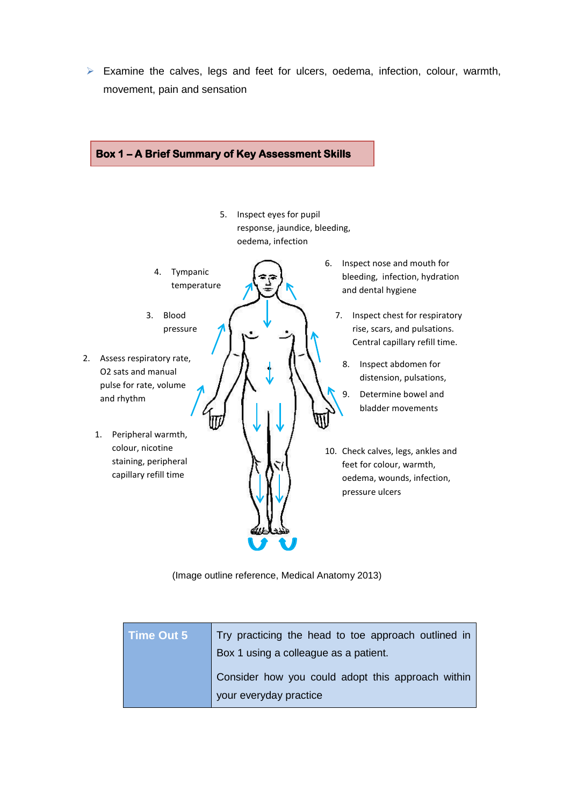$\triangleright$  Examine the calves, legs and feet for ulcers, oedema, infection, colour, warmth, movement, pain and sensation



(Image outline reference, Medical Anatomy 2013)

| Time Out 5 | Try practicing the head to toe approach outlined in |
|------------|-----------------------------------------------------|
|            | Box 1 using a colleague as a patient.               |
|            | Consider how you could adopt this approach within   |
|            | your everyday practice                              |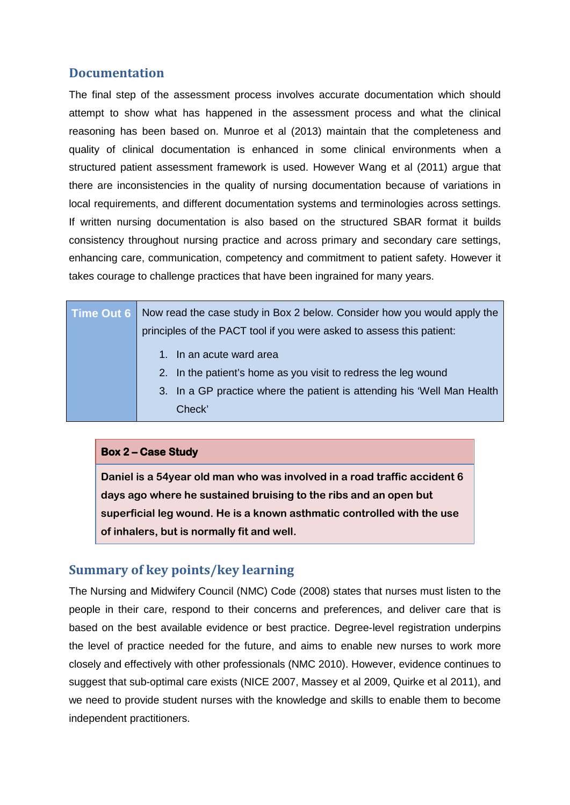# **Documentation**

The final step of the assessment process involves accurate documentation which should attempt to show what has happened in the assessment process and what the clinical reasoning has been based on. Munroe et al (2013) maintain that the completeness and quality of clinical documentation is enhanced in some clinical environments when a structured patient assessment framework is used. However Wang et al (2011) argue that there are inconsistencies in the quality of nursing documentation because of variations in local requirements, and different documentation systems and terminologies across settings. If written nursing documentation is also based on the structured SBAR format it builds consistency throughout nursing practice and across primary and secondary care settings, enhancing care, communication, competency and commitment to patient safety. However it takes courage to challenge practices that have been ingrained for many years.

| Time Out 6 Now read the case study in Box 2 below. Consider how you would apply the                             |
|-----------------------------------------------------------------------------------------------------------------|
| principles of the PACT tool if you were asked to assess this patient:                                           |
| 1. In an acute ward area                                                                                        |
| 2. In the patient's home as you visit to redress the leg wound                                                  |
| the contract of the contract of the contract of the contract of the contract of the contract of the contract of |

3. In a GP practice where the patient is attending his 'Well Man Health Check'

#### **Box 2 – Case Study**

**Daniel is a 54year old man who was involved in a road traffic accident 6 days ago where he sustained bruising to the ribs and an open but superficial leg wound. He is a known asthmatic controlled with the use of inhalers, but is normally fit and well.**

# **Summary of key points/key learning**

The Nursing and Midwifery Council (NMC) Code (2008) states that nurses must listen to the people in their care, respond to their concerns and preferences, and deliver care that is based on the best available evidence or best practice. Degree-level registration underpins the level of practice needed for the future, and aims to enable new nurses to work more closely and effectively with other professionals (NMC 2010). However, evidence continues to suggest that sub-optimal care exists (NICE 2007, Massey et al 2009, Quirke et al 2011), and we need to provide student nurses with the knowledge and skills to enable them to become independent practitioners.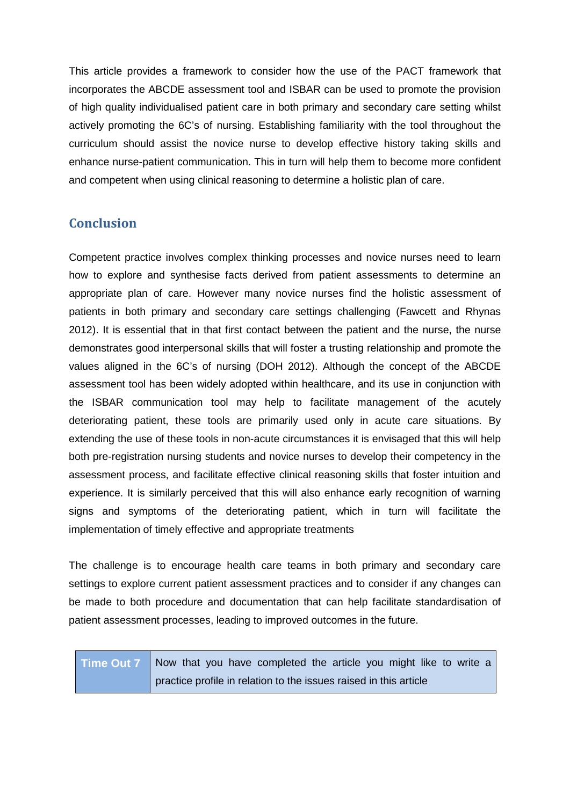This article provides a framework to consider how the use of the PACT framework that incorporates the ABCDE assessment tool and ISBAR can be used to promote the provision of high quality individualised patient care in both primary and secondary care setting whilst actively promoting the 6C's of nursing. Establishing familiarity with the tool throughout the curriculum should assist the novice nurse to develop effective history taking skills and enhance nurse-patient communication. This in turn will help them to become more confident and competent when using clinical reasoning to determine a holistic plan of care.

# **Conclusion**

Competent practice involves complex thinking processes and novice nurses need to learn how to explore and synthesise facts derived from patient assessments to determine an appropriate plan of care. However many novice nurses find the holistic assessment of patients in both primary and secondary care settings challenging (Fawcett and Rhynas 2012). It is essential that in that first contact between the patient and the nurse, the nurse demonstrates good interpersonal skills that will foster a trusting relationship and promote the values aligned in the 6C's of nursing (DOH 2012). Although the concept of the ABCDE assessment tool has been widely adopted within healthcare, and its use in conjunction with the ISBAR communication tool may help to facilitate management of the acutely deteriorating patient, these tools are primarily used only in acute care situations. By extending the use of these tools in non-acute circumstances it is envisaged that this will help both pre-registration nursing students and novice nurses to develop their competency in the assessment process, and facilitate effective clinical reasoning skills that foster intuition and experience. It is similarly perceived that this will also enhance early recognition of warning signs and symptoms of the deteriorating patient, which in turn will facilitate the implementation of timely effective and appropriate treatments

The challenge is to encourage health care teams in both primary and secondary care settings to explore current patient assessment practices and to consider if any changes can be made to both procedure and documentation that can help facilitate standardisation of patient assessment processes, leading to improved outcomes in the future.

| Time Out 7 Now that you have completed the article you might like to write a |
|------------------------------------------------------------------------------|
| practice profile in relation to the issues raised in this article            |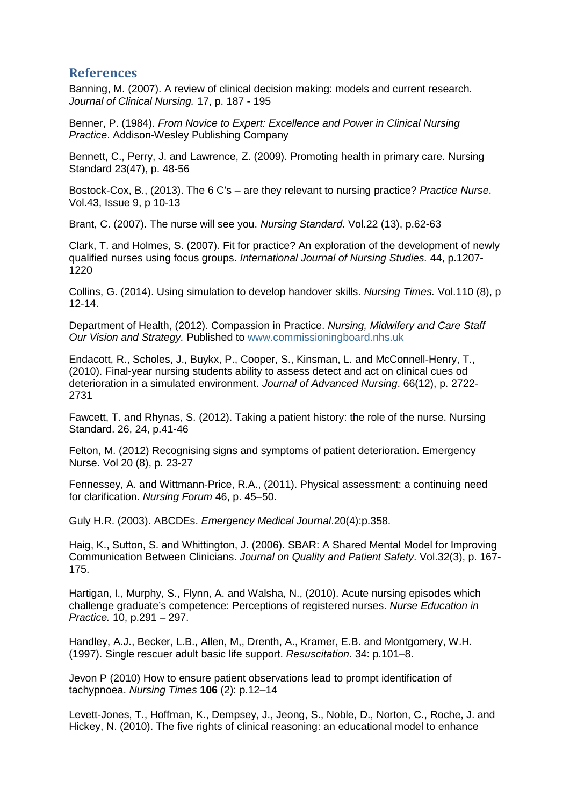## **References**

Banning, M. (2007). A review of clinical decision making: models and current research. *Journal of Clinical Nursing.* 17, p. 187 - 195

Benner, P. (1984). *From Novice to Expert: Excellence and Power in Clinical Nursing Practice*. Addison-Wesley Publishing Company

Bennett, C., Perry, J. and Lawrence, Z. (2009). Promoting health in primary care. Nursing Standard 23(47), p. 48-56

Bostock-Cox, B., (2013). The 6 C's – are they relevant to nursing practice? *Practice Nurse*. Vol.43, Issue 9, p 10-13

Brant, C. (2007). The nurse will see you. *Nursing Standard*. Vol.22 (13), p.62-63

Clark, T. and Holmes, S. (2007). Fit for practice? An exploration of the development of newly qualified nurses using focus groups. *International Journal of Nursing Studies.* 44, p.1207- 1220

Collins, G. (2014). Using simulation to develop handover skills. *Nursing Times.* Vol.110 (8), p 12-14.

Department of Health, (2012). Compassion in Practice. *Nursing, Midwifery and Care Staff Our Vision and Strategy.* Published to [www.commissioningboard.nhs.uk](http://www.commissioningboard.nhs.uk/)

Endacott, R., Scholes, J., Buykx, P., Cooper, S., Kinsman, L. and McConnell-Henry, T., (2010). Final-year nursing students ability to assess detect and act on clinical cues od deterioration in a simulated environment. *Journal of Advanced Nursing*. 66(12), p. 2722- 2731

Fawcett, T. and Rhynas, S. (2012). Taking a patient history: the role of the nurse. Nursing Standard. 26, 24, p.41-46

Felton, M. (2012) Recognising signs and symptoms of patient deterioration. Emergency Nurse. Vol 20 (8), p. 23-27

Fennessey, A. and Wittmann-Price, R.A., (2011). Physical assessment: a continuing need for clarification. *Nursing Forum* 46, p. 45–50.

Guly H.R. (2003). ABCDEs. *Emergency Medical Journal*.20(4):p.358.

Haig, K., Sutton, S. and Whittington, J. (2006). SBAR: A Shared Mental Model for Improving Communication Between Clinicians. *Journal on Quality and Patient Safety*. Vol.32(3), p. 167- 175.

Hartigan, I., Murphy, S., Flynn, A. and Walsha, N., (2010). Acute nursing episodes which challenge graduate's competence: Perceptions of registered nurses. *Nurse Education in Practice.* 10, p.291 – 297.

Handley, A.J., Becker, L.B., Allen, M,, [Drenth,](https://circ.ahajournals.org/search?author1=Ank+van+Drenth&sortspec=date&submit=Submit) A., Kramer, E.B. and Montgomery, W.H. (1997). Single rescuer adult basic life support. *Resuscitation*. 34: p.101–8.

Jevon P (2010) How to ensure patient observations lead to prompt identification of tachypnoea. *Nursing Times* **106** (2): p.12–14

Levett-Jones, T., Hoffman, K., Dempsey, J., Jeong, S., Noble, D., Norton, C., Roche, J. and Hickey, N. (2010). The five rights of clinical reasoning: an educational model to enhance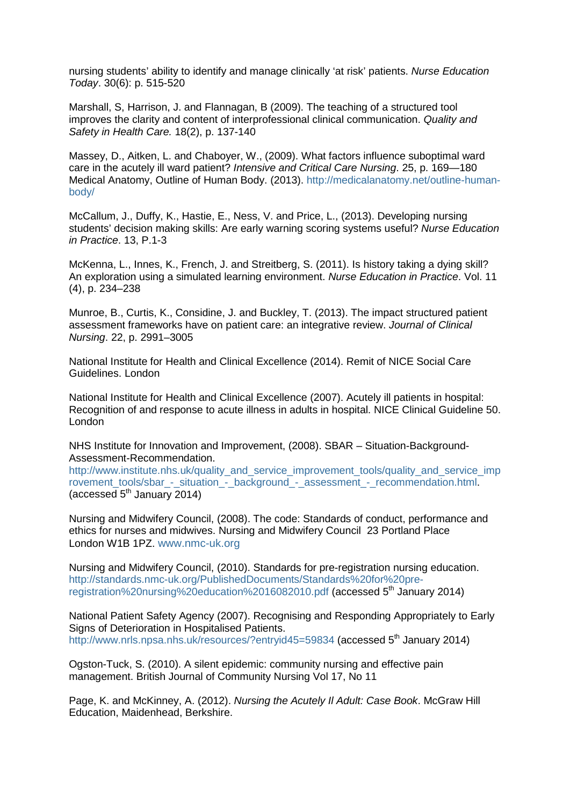nursing students' ability to identify and manage clinically 'at risk' patients. *Nurse Education Today*. 30(6): p. 515-520

Marshall, S, Harrison, J. and Flannagan, B (2009). The teaching of a structured tool improves the clarity and content of interprofessional clinical communication. *Quality and Safety in Health Care.* 18(2), p. 137-140

Massey, D., Aitken, L. and Chaboyer, W., (2009). What factors influence suboptimal ward care in the acutely ill ward patient? *Intensive and Critical Care Nursing*. 25, p. 169—180 Medical Anatomy, Outline of Human Body. (2013). [http://medicalanatomy.net/outline-human](http://medicalanatomy.net/outline-human-body/)[body/](http://medicalanatomy.net/outline-human-body/)

McCallum, J., Duffy, K., Hastie, E., Ness, V. and Price, L., (2013). Developing nursing students' decision making skills: Are early warning scoring systems useful? *Nurse Education in Practice*. 13, P.1-3

McKenna, L., Innes, K., French, J. and Streitberg, S. (2011). Is history taking a dying skill? An exploration using a simulated learning environment. *Nurse [Education](http://www.sciencedirect.com.atlas.worc.ac.uk/science/journal/14715953) in Practice*. [Vol. 11](http://www.sciencedirect.com.atlas.worc.ac.uk/science/journal/14715953/11/4)  [\(4\)](http://www.sciencedirect.com.atlas.worc.ac.uk/science/journal/14715953/11/4), p. 234–238

Munroe, B., Curtis, K., Considine, J. and Buckley, T. (2013). The impact structured patient assessment frameworks have on patient care: an integrative review. *Journal of Clinical Nursing*. 22, p. 2991–3005

National Institute for Health and Clinical Excellence (2014). Remit of NICE Social Care Guidelines. London

National Institute for Health and Clinical Excellence (2007). Acutely ill patients in hospital: Recognition of and response to acute illness in adults in hospital. NICE Clinical Guideline 50. London

NHS Institute for Innovation and Improvement, (2008). SBAR – Situation-Background-Assessment-Recommendation.

[http://www.institute.nhs.uk/quality\\_and\\_service\\_improvement\\_tools/quality\\_and\\_service\\_imp](http://www.institute.nhs.uk/quality_and_service_improvement_tools/quality_and_service_improvement_tools/sbar_-_situation_-_background_-_assessment_-_recommendation.html) rovement tools/sbar - situation - background - assessment - recommendation.html. (accessed  $5<sup>th</sup>$  January 2014)

Nursing and Midwifery Council, (2008). The code: Standards of conduct, performance and ethics for nurses and midwives. Nursing and Midwifery Council 23 Portland Place London W1B 1PZ. [www.nmc-uk.org](http://www.nmc-uk.org/)

Nursing and Midwifery Council, (2010). Standards for pre-registration nursing education. [http://standards.nmc-uk.org/PublishedDocuments/Standards%20for%20pre](http://standards.nmc-uk.org/PublishedDocuments/Standards%20for%20pre-registration%20nursing%20education%2016082010.pdf)[registration%20nursing%20education%2016082010.pdf](http://standards.nmc-uk.org/PublishedDocuments/Standards%20for%20pre-registration%20nursing%20education%2016082010.pdf) (accessed 5<sup>th</sup> January 2014)

National Patient Safety Agency (2007). Recognising and Responding Appropriately to Early Signs of Deterioration in Hospitalised Patients. <http://www.nrls.npsa.nhs.uk/resources/?entryid45=59834> (accessed 5<sup>th</sup> January 2014)

Ogston-Tuck, S. (2010). A silent epidemic: community nursing and effective pain management. British Journal of Community Nursing Vol 17, No 11

Page, K. and McKinney, A. (2012). *Nursing the Acutely Il Adult: Case Book*. McGraw Hill Education, Maidenhead, Berkshire.